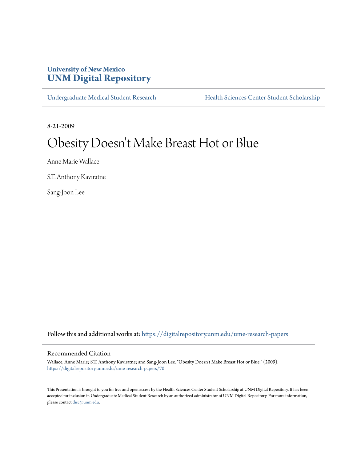# **University of New Mexico [UNM Digital Repository](https://digitalrepository.unm.edu?utm_source=digitalrepository.unm.edu%2Fume-research-papers%2F70&utm_medium=PDF&utm_campaign=PDFCoverPages)**

[Undergraduate Medical Student Research](https://digitalrepository.unm.edu/ume-research-papers?utm_source=digitalrepository.unm.edu%2Fume-research-papers%2F70&utm_medium=PDF&utm_campaign=PDFCoverPages) [Health Sciences Center Student Scholarship](https://digitalrepository.unm.edu/hsc-students?utm_source=digitalrepository.unm.edu%2Fume-research-papers%2F70&utm_medium=PDF&utm_campaign=PDFCoverPages)

8-21-2009

# Obesity Doesn 't Make Breast Hot or Blue

Anne Marie Wallace

S.T. Anthony Kaviratne

Sang-Joon Lee

Follow this and additional works at: [https://digitalrepository.unm.edu/ume-research-papers](https://digitalrepository.unm.edu/ume-research-papers?utm_source=digitalrepository.unm.edu%2Fume-research-papers%2F70&utm_medium=PDF&utm_campaign=PDFCoverPages)

#### Recommended Citation

Wallace, Anne Marie; S.T. Anthony Kaviratne; and Sang-Joon Lee. "Obesity Doesn't Make Breast Hot or Blue." (2009). [https://digitalrepository.unm.edu/ume-research-papers/70](https://digitalrepository.unm.edu/ume-research-papers/70?utm_source=digitalrepository.unm.edu%2Fume-research-papers%2F70&utm_medium=PDF&utm_campaign=PDFCoverPages)

This Presentation is brought to you for free and open access by the Health Sciences Center Student Scholarship at UNM Digital Repository. It has been accepted for inclusion in Undergraduate Medical Student Research by an authorized administrator of UNM Digital Repository. For more information, please contact [disc@unm.edu.](mailto:disc@unm.edu)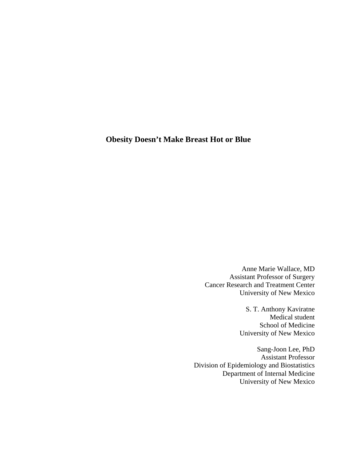# **Obesity Doesn't Make Breast Hot or Blue**

Anne Marie Wallace, MD Assistant Professor of Surgery Cancer Research and Treatment Center University of New Mexico

> S. T. Anthony Kaviratne Medical student School of Medicine University of New Mexico

Sang-Joon Lee, PhD Assistant Professor Division of Epidemiology and Biostatistics Department of Internal Medicine University of New Mexico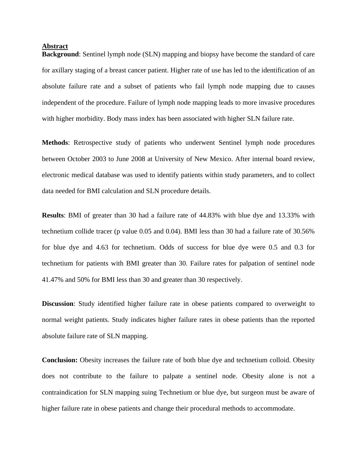#### **Abstract**

**Background**: Sentinel lymph node (SLN) mapping and biopsy have become the standard of care for axillary staging of a breast cancer patient. Higher rate of use has led to the identification of an absolute failure rate and a subset of patients who fail lymph node mapping due to causes independent of the procedure. Failure of lymph node mapping leads to more invasive procedures with higher morbidity. Body mass index has been associated with higher SLN failure rate.

**Methods**: Retrospective study of patients who underwent Sentinel lymph node procedures between October 2003 to June 2008 at University of New Mexico. After internal board review, electronic medical database was used to identify patients within study parameters, and to collect data needed for BMI calculation and SLN procedure details.

**Results**: BMI of greater than 30 had a failure rate of 44.83% with blue dye and 13.33% with technetium collide tracer (p value 0.05 and 0.04). BMI less than 30 had a failure rate of 30.56% for blue dye and 4.63 for technetium. Odds of success for blue dye were 0.5 and 0.3 for technetium for patients with BMI greater than 30. Failure rates for palpation of sentinel node 41.47% and 50% for BMI less than 30 and greater than 30 respectively.

**Discussion**: Study identified higher failure rate in obese patients compared to overweight to normal weight patients. Study indicates higher failure rates in obese patients than the reported absolute failure rate of SLN mapping.

**Conclusion:** Obesity increases the failure rate of both blue dye and technetium colloid. Obesity does not contribute to the failure to palpate a sentinel node. Obesity alone is not a contraindication for SLN mapping suing Technetium or blue dye, but surgeon must be aware of higher failure rate in obese patients and change their procedural methods to accommodate.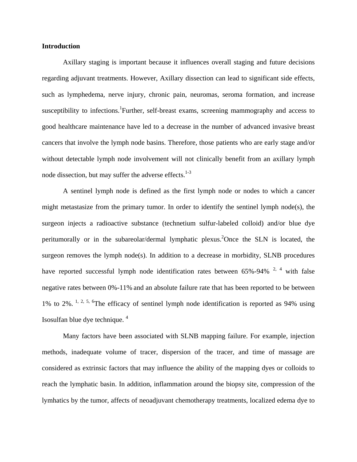#### **Introduction**

Axillary staging is important because it influences overall staging and future decisions regarding adjuvant treatments. However, Axillary dissection can lead to significant side effects, such as lymphedema, nerve injury, chronic pain, neuromas, seroma formation, and increase susceptibility to infections. <sup>1</sup>Further, self-breast exams, screening mammography and access to good healthcare maintenance have led to a decrease in the number of advanced invasive breast cancers that involve the lymph node basins. Therefore, those patients who are early stage and/or without detectable lymph node involvement will not clinically benefit from an axillary lymph node dissection, but may suffer the adverse effects.<sup>1-3</sup>

A sentinel lymph node is defined as the first lymph node or nodes to which a cancer might metastasize from the primary tumor. In order to identify the sentinel lymph node(s), the surgeon injects a radioactive substance (technetium sulfur-labeled colloid) and/or blue dye peritumorally or in the subareolar/dermal lymphatic plexus.<sup>2</sup>Once the SLN is located, the surgeon removes the lymph  $node(s)$ . In addition to a decrease in morbidity, SLNB procedures have reported successful lymph node identification rates between  $65\%$ -94% <sup>2, 4</sup> with false negative rates between 0%-11% and an absolute failure rate that has been reported to be between 1% to 2%. <sup>1, 2, 5, 6</sup>The efficacy of sentinel lymph node identification is reported as 94% using Isosulfan blue dye technique. 4

Many factors have been associated with SLNB mapping failure. For example, injection methods, inadequate volume of tracer, dispersion of the tracer, and time of massage are considered as extrinsic factors that may influence the ability of the mapping dyes or colloids to reach the lymphatic basin. In addition, inflammation around the biopsy site, compression of the lymhatics by the tumor, affects of neoadjuvant chemotherapy treatments, localized edema dye to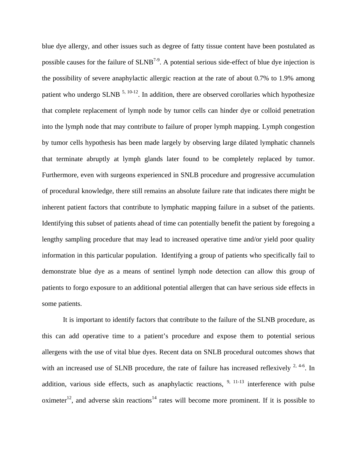blue dye allergy, and other issues such as degree of fatty tissue content have been postulated as possible causes for the failure of  $SLNB^{7.9}$ . A potential serious side-effect of blue dye injection is the possibility of severe anaphylactic allergic reaction at the rate of about 0.7% to 1.9% among patient who undergo SLNB  $^{5, 10-12}$ . In addition, there are observed corollaries which hypothesize that complete replacement of lymph node by tumor cells can hinder dye or colloid penetration into the lymph node that may contribute to failure of proper lymph mapping. Lymph congestion by tumor cells hypothesis has been made largely by observing large dilated lymphatic channels that terminate abruptly at lymph glands later found to be completely replaced by tumor. Furthermore, even with surgeons experienced in SNLB procedure and progressive accumulation of procedural knowledge, there still remains an absolute failure rate that indicates there might be inherent patient factors that contribute to lymphatic mapping failure in a subset of the patients. Identifying this subset of patients ahead of time can potentially benefit the patient by foregoing a lengthy sampling procedure that may lead to increased operative time and/or yield poor quality information in this particular population. Identifying a group of patients who specifically fail to demonstrate blue dye as a means of sentinel lymph node detection can allow this group of patients to forgo exposure to an additional potential allergen that can have serious side effects in some patients.

It is important to identify factors that contribute to the failure of the SLNB procedure, as this can add operative time to a patient's procedure and expose them to potential serious allergens with the use of vital blue dyes. Recent data on SNLB procedural outcomes shows that with an increased use of SLNB procedure, the rate of failure has increased reflexively  $^{2, 4-6}$ . In addition, various side effects, such as anaphylactic reactions,  $9, 11-13$  interference with pulse oximeter<sup>12</sup>, and adverse skin reactions<sup>14</sup> rates will become more prominent. If it is possible to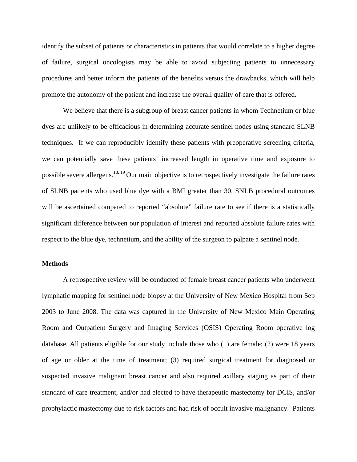identify the subset of patients or characteristics in patients that would correlate to a higher degree of failure, surgical oncologists may be able to avoid subjecting patients to unnecessary procedures and better inform the patients of the benefits versus the drawbacks, which will help promote the autonomy of the patient and increase the overall quality of care that is offered.

We believe that there is a subgroup of breast cancer patients in whom Technetium or blue dyes are unlikely to be efficacious in determining accurate sentinel nodes using standard SLNB techniques. If we can reproducibly identify these patients with preoperative screening criteria, we can potentially save these patients' increased length in operative time and exposure to possible severe allergens.<sup>18, 19</sup> Our main objective is to retrospectively investigate the failure rates of SLNB patients who used blue dye with a BMI greater than 30. SNLB procedural outcomes will be ascertained compared to reported "absolute" failure rate to see if there is a statistically significant difference between our population of interest and reported absolute failure rates with respect to the blue dye, technetium, and the ability of the surgeon to palpate a sentinel node.

#### **Methods**

A retrospective review will be conducted of female breast cancer patients who underwent lymphatic mapping for sentinel node biopsy at the University of New Mexico Hospital from Sep 2003 to June 2008. The data was captured in the University of New Mexico Main Operating Room and Outpatient Surgery and Imaging Services (OSIS) Operating Room operative log database. All patients eligible for our study include those who (1) are female; (2) were 18 years of age or older at the time of treatment; (3) required surgical treatment for diagnosed or suspected invasive malignant breast cancer and also required axillary staging as part of their standard of care treatment, and/or had elected to have therapeutic mastectomy for DCIS, and/or prophylactic mastectomy due to risk factors and had risk of occult invasive malignancy. Patients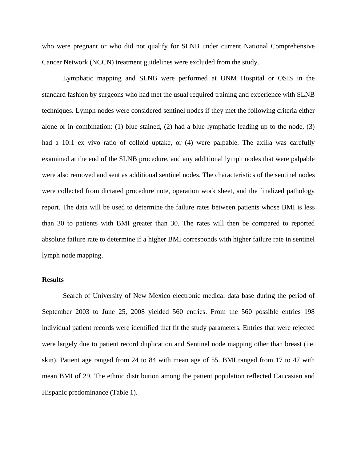who were pregnant or who did not qualify for SLNB under current National Comprehensive Cancer Network (NCCN) treatment guidelines were excluded from the study.

Lymphatic mapping and SLNB were performed at UNM Hospital or OSIS in the standard fashion by surgeons who had met the usual required training and experience with SLNB techniques. Lymph nodes were considered sentinel nodes if they met the following criteria either alone or in combination: (1) blue stained, (2) had a blue lymphatic leading up to the node, (3) had a 10:1 ex vivo ratio of colloid uptake, or (4) were palpable. The axilla was carefully examined at the end of the SLNB procedure, and any additional lymph nodes that were palpable were also removed and sent as additional sentinel nodes. The characteristics of the sentinel nodes were collected from dictated procedure note, operation work sheet, and the finalized pathology report. The data will be used to determine the failure rates between patients whose BMI is less than 30 to patients with BMI greater than 30. The rates will then be compared to reported absolute failure rate to determine if a higher BMI corresponds with higher failure rate in sentinel lymph node mapping.

#### **Results**

Search of University of New Mexico electronic medical data base during the period of September 2003 to June 25, 2008 yielded 560 entries. From the 560 possible entries 198 individual patient records were identified that fit the study parameters. Entries that were rejected were largely due to patient record duplication and Sentinel node mapping other than breast (i.e. skin). Patient age ranged from 24 to 84 with mean age of 55. BMI ranged from 17 to 47 with mean BMI of 29. The ethnic distribution among the patient population reflected Caucasian and Hispanic predominance (Table 1).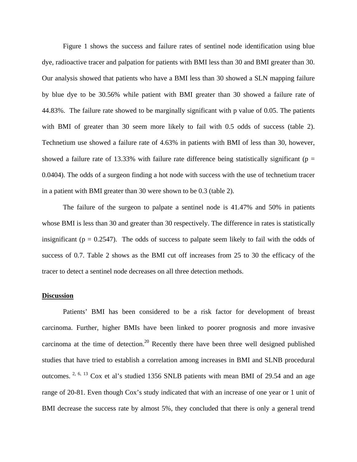Figure 1 shows the success and failure rates of sentinel node identification using blue dye, radioactive tracer and palpation for patients with BMI less than 30 and BMI greater than 30. Our analysis showed that patients who have a BMI less than 30 showed a SLN mapping failure by blue dye to be 30.56% while patient with BMI greater than 30 showed a failure rate of 44.83%. The failure rate showed to be marginally significant with p value of 0.05. The patients with BMI of greater than 30 seem more likely to fail with 0.5 odds of success (table 2). Technetium use showed a failure rate of 4.63% in patients with BMI of less than 30, however, showed a failure rate of 13.33% with failure rate difference being statistically significant ( $p =$ 0.0404). The odds of a surgeon finding a hot node with success with the use of technetium tracer in a patient with BMI greater than 30 were shown to be 0.3 (table 2).

The failure of the surgeon to palpate a sentinel node is 41.47% and 50% in patients whose BMI is less than 30 and greater than 30 respectively. The difference in rates is statistically insignificant ( $p = 0.2547$ ). The odds of success to palpate seem likely to fail with the odds of success of 0.7. Table 2 shows as the BMI cut off increases from 25 to 30 the efficacy of the tracer to detect a sentinel node decreases on all three detection methods.

#### **Discussion**

 Patients' BMI has been considered to be a risk factor for development of breast carcinoma. Further, higher BMIs have been linked to poorer prognosis and more invasive carcinoma at the time of detection.<sup>20</sup> Recently there have been three well designed published studies that have tried to establish a correlation among increases in BMI and SLNB procedural outcomes. 2, 6, 13 Cox et al's studied 1356 SNLB patients with mean BMI of 29.54 and an age range of 20-81. Even though Cox's study indicated that with an increase of one year or 1 unit of BMI decrease the success rate by almost 5%, they concluded that there is only a general trend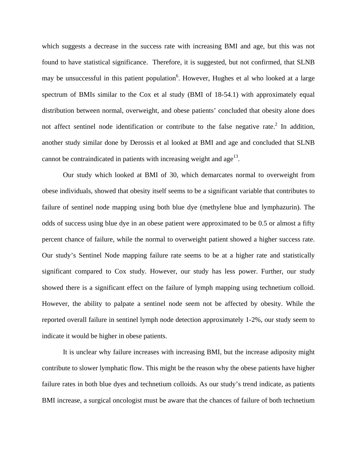which suggests a decrease in the success rate with increasing BMI and age, but this was not found to have statistical significance. Therefore, it is suggested, but not confirmed, that SLNB may be unsuccessful in this patient population<sup>6</sup>. However, Hughes et al who looked at a large spectrum of BMIs similar to the Cox et al study (BMI of 18-54.1) with approximately equal distribution between normal, overweight, and obese patients' concluded that obesity alone does not affect sentinel node identification or contribute to the false negative rate.<sup>2</sup> In addition, another study similar done by Derossis et al looked at BMI and age and concluded that SLNB cannot be contraindicated in patients with increasing weight and age<sup>13</sup>.

Our study which looked at BMI of 30, which demarcates normal to overweight from obese individuals, showed that obesity itself seems to be a significant variable that contributes to failure of sentinel node mapping using both blue dye (methylene blue and lymphazurin). The odds of success using blue dye in an obese patient were approximated to be 0.5 or almost a fifty percent chance of failure, while the normal to overweight patient showed a higher success rate. Our study's Sentinel Node mapping failure rate seems to be at a higher rate and statistically significant compared to Cox study. However, our study has less power. Further, our study showed there is a significant effect on the failure of lymph mapping using technetium colloid. However, the ability to palpate a sentinel node seem not be affected by obesity. While the reported overall failure in sentinel lymph node detection approximately 1-2%, our study seem to indicate it would be higher in obese patients.

It is unclear why failure increases with increasing BMI, but the increase adiposity might contribute to slower lymphatic flow. This might be the reason why the obese patients have higher failure rates in both blue dyes and technetium colloids. As our study's trend indicate, as patients BMI increase, a surgical oncologist must be aware that the chances of failure of both technetium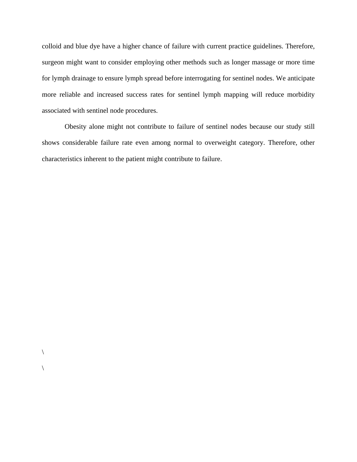colloid and blue dye have a higher chance of failure with current practice guidelines. Therefore, surgeon might want to consider employing other methods such as longer massage or more time for lymph drainage to ensure lymph spread before interrogating for sentinel nodes. We anticipate more reliable and increased success rates for sentinel lymph mapping will reduce morbidity associated with sentinel node procedures.

 Obesity alone might not contribute to failure of sentinel nodes because our study still shows considerable failure rate even among normal to overweight category. Therefore, other characteristics inherent to the patient might contribute to failure.

 $\setminus$ 

 $\setminus$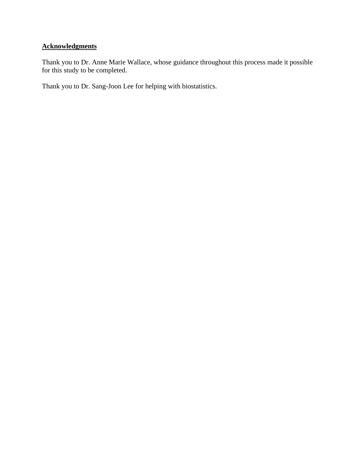### **Acknowledgments**

Thank you to Dr. Anne Marie Wallace, whose guidance throughout this process made it possible for this study to be completed.

Thank you to Dr. Sang-Joon Lee for helping with biostatistics.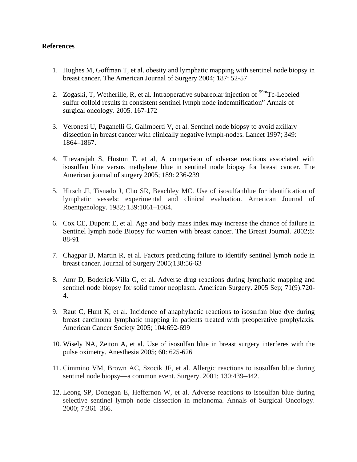#### **References**

- 1. Hughes M, Goffman T, et al. obesity and lymphatic mapping with sentinel node biopsy in breast cancer. The American Journal of Surgery 2004; 187: 52-57
- 2. Zogaski, T, Wetherille, R, et al. Intraoperative subareolar injection of  $99m$ Tc-Lebeled sulfur colloid results in consistent sentinel lymph node indemnification" Annals of surgical oncology. 2005. 167-172
- 3. Veronesi U, Paganelli G, Galimberti V, et al. Sentinel node biopsy to avoid axillary dissection in breast cancer with clinically negative lymph-nodes. Lancet 1997; 349: 1864–1867.
- 4. Thevarajah S, Huston T, et al, A comparison of adverse reactions associated with isosulfan blue versus methylene blue in sentinel node biopsy for breast cancer. The American journal of surgery 2005; 189: 236-239
- 5. Hirsch JI, Tisnado J, Cho SR, Beachley MC. Use of isosulfanblue for identification of lymphatic vessels: experimental and clinical evaluation. American Journal of Roentgenology. 1982; 139:1061–1064.
- 6. Cox CE, Dupont E, et al. Age and body mass index may increase the chance of failure in Sentinel lymph node Biopsy for women with breast cancer. The Breast Journal. 2002;8: 88-91
- 7. Chagpar B, Martin R, et al. Factors predicting failure to identify sentinel lymph node in breast cancer. Journal of Surgery 2005;138:56-63
- 8. Amr D, Boderick-Villa G, et al. Adverse drug reactions during lymphatic mapping and sentinel node biopsy for solid tumor neoplasm. [American Surgery.](javascript:AL_get(this,%20) 2005 Sep; 71(9):720- 4.
- 9. Raut C, Hunt K, et al. Incidence of anaphylactic reactions to isosulfan blue dye during breast carcinoma lymphatic mapping in patients treated with preoperative prophylaxis. American Cancer Society 2005; 104:692-699
- 10. Wisely NA, Zeiton A, et al. Use of isosulfan blue in breast surgery interferes with the pulse oximetry. Anesthesia 2005; 60: 625-626
- 11. Cimmino VM, Brown AC, Szocik JF, et al. Allergic reactions to isosulfan blue during sentinel node biopsy—a common event. Surgery. 2001; 130:439–442.
- 12. Leong SP, Donegan E, Heffernon W, et al. Adverse reactions to isosulfan blue during selective sentinel lymph node dissection in melanoma. Annals of Surgical Oncology. 2000; 7:361–366.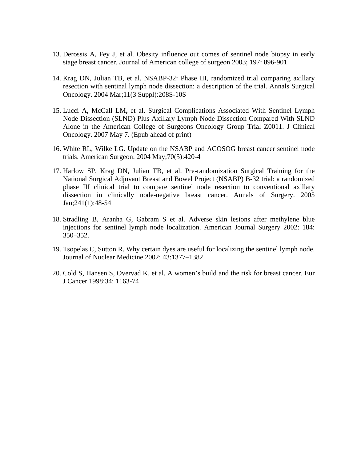- 13. Derossis A, Fey J, et al. Obesity influence out comes of sentinel node biopsy in early stage breast cancer. Journal of American college of surgeon 2003; 197: 896-901
- 14. [Krag DN,](http://www.ncbi.nlm.nih.gov/entrez/query.fcgi?db=pubmed&cmd=Search&itool=pubmed_AbstractPlus&term=%22Krag+DN%22%5BAuthor%5D) [Julian TB](http://www.ncbi.nlm.nih.gov/entrez/query.fcgi?db=pubmed&cmd=Search&itool=pubmed_AbstractPlus&term=%22Julian+TB%22%5BAuthor%5D), et al. NSABP-32: Phase III, randomized trial comparing axillary resection with sentinal lymph node dissection: a description of the trial. Annals Surgical Oncology. 2004 Mar;11(3 Suppl):208S-10S
- 15. Lucci A, McCall LM**,** et al. Surgical Complications Associated With Sentinel Lymph Node Dissection (SLND) Plus Axillary Lymph Node Dissection Compared With SLND Alone in the American College of Surgeons Oncology Group Trial Z0011. J Clinical Oncology. 2007 May 7. (Epub ahead of print)
- 16. White RL, Wilke LG. Update on the NSABP and ACOSOG breast cancer sentinel node trials. American Surgeon. 2004 May;70(5):420-4
- 17. Harlow SP, Krag DN, Julian TB, et al. Pre-randomization Surgical Training for the National Surgical Adjuvant Breast and Bowel Project (NSABP) B-32 trial: a randomized phase III clinical trial to compare sentinel node resection to conventional axillary dissection in clinically node-negative breast cancer. Annals of Surgery. 2005 Jan;241(1):48-54
- 18. Stradling B, Aranha G, Gabram S et al. Adverse skin lesions after methylene blue injections for sentinel lymph node localization. American Journal Surgery 2002: 184: 350–352.
- 19. Tsopelas C, Sutton R. Why certain dyes are useful for localizing the sentinel lymph node. Journal of Nuclear Medicine 2002: 43:1377–1382.
- 20. Cold S, Hansen S, Overvad K, et al. A women's build and the risk for breast cancer. Eur J Cancer 1998:34: 1163-74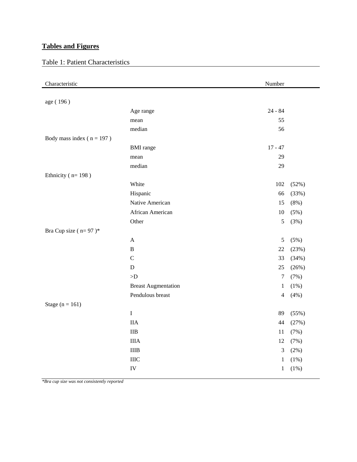## **Tables and Figures**

# Table 1: Patient Characteristics

| Characteristic                |                            | Number         |         |
|-------------------------------|----------------------------|----------------|---------|
|                               |                            |                |         |
| age (196)                     |                            |                |         |
|                               | Age range                  | $24 - 84$      |         |
|                               | mean                       | 55             |         |
|                               | median                     | 56             |         |
| Body mass index ( $n = 197$ ) |                            |                |         |
|                               | <b>BMI</b> range           | $17 - 47$      |         |
|                               | mean                       | 29             |         |
|                               | median                     | 29             |         |
| Ethnicity ( $n=198$ )         |                            |                |         |
|                               | White                      | 102            | (52%)   |
|                               | Hispanic                   | 66             | (33%)   |
|                               | Native American            | 15             | (8%)    |
|                               | African American           | $10\,$         | (5%)    |
|                               | Other                      | $\sqrt{5}$     | (3%)    |
| Bra Cup size ( $n=97$ )*      |                            |                |         |
|                               | $\boldsymbol{\mathsf{A}}$  | 5              | (5%)    |
|                               | $\, {\bf B}$               | 22             | (23%)   |
|                               | $\mathbf C$                | 33             | (34%)   |
|                               | D                          | 25             | (26%)   |
|                               | $\mathord{>}D$             | $\tau$         | (7%)    |
|                               | <b>Breast Augmentation</b> | $\mathbf{1}$   | (1%)    |
|                               | Pendulous breast           | $\overline{4}$ | (4% )   |
| Stage $(n = 161)$             |                            |                |         |
|                               | $\rm I$                    | 89             | (55%)   |
|                               | <b>IIA</b>                 | 44             | (27%)   |
|                               | $\rm IIB$                  | 11             | (7%)    |
|                               | <b>IIIA</b>                | 12             | (7%)    |
|                               | <b>IIIB</b>                | $\mathfrak{Z}$ | (2%)    |
|                               | IIIC                       | $\mathbf{1}$   | $(1\%)$ |
|                               | ${\rm IV}$                 | $\mathbf{1}$   | $(1\%)$ |

*\*Bra cup size was not consistently reported*